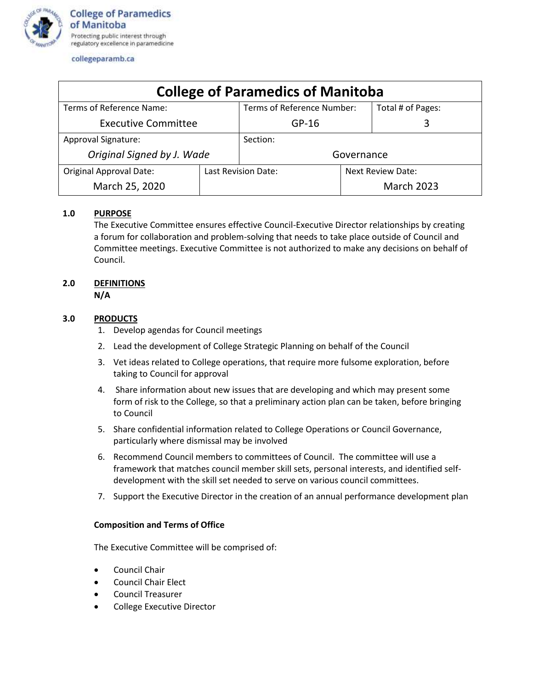

collegeparamb.ca

| <b>College of Paramedics of Manitoba</b> |                     |                            |                          |                   |
|------------------------------------------|---------------------|----------------------------|--------------------------|-------------------|
| Terms of Reference Name:                 |                     | Terms of Reference Number: |                          | Total # of Pages: |
| <b>Executive Committee</b>               |                     | $GP-16$                    |                          |                   |
| <b>Approval Signature:</b>               |                     | Section:                   |                          |                   |
| Original Signed by J. Wade               |                     | Governance                 |                          |                   |
| <b>Original Approval Date:</b>           | Last Revision Date: |                            | <b>Next Review Date:</b> |                   |
| March 25, 2020                           |                     |                            |                          | <b>March 2023</b> |

# **1.0 PURPOSE**

The Executive Committee ensures effective Council-Executive Director relationships by creating a forum for collaboration and problem-solving that needs to take place outside of Council and Committee meetings. Executive Committee is not authorized to make any decisions on behalf of Council.

# **2.0 DEFINITIONS**

**N/A**

# **3.0 PRODUCTS**

- 1. Develop agendas for Council meetings
- 2. Lead the development of College Strategic Planning on behalf of the Council
- 3. Vet ideas related to College operations, that require more fulsome exploration, before taking to Council for approval
- 4. Share information about new issues that are developing and which may present some form of risk to the College, so that a preliminary action plan can be taken, before bringing to Council
- 5. Share confidential information related to College Operations or Council Governance, particularly where dismissal may be involved
- 6. Recommend Council members to committees of Council. The committee will use a framework that matches council member skill sets, personal interests, and identified selfdevelopment with the skill set needed to serve on various council committees.
- 7. Support the Executive Director in the creation of an annual performance development plan

#### **Composition and Terms of Office**

The Executive Committee will be comprised of:

- Council Chair
- Council Chair Elect
- Council Treasurer
- College Executive Director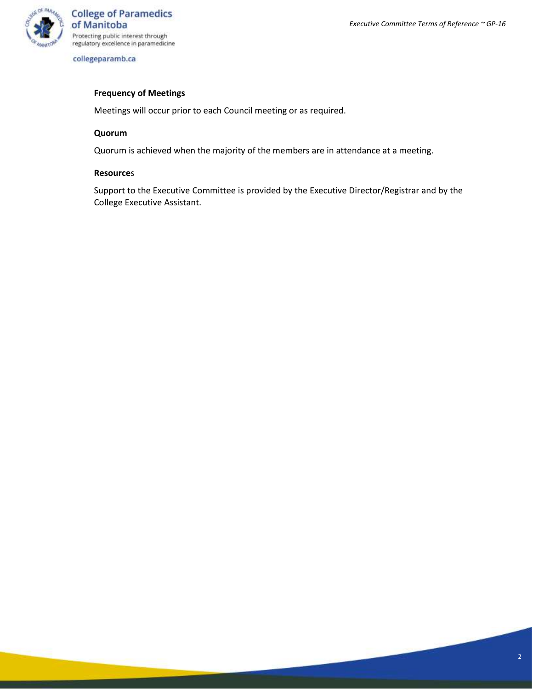

collegeparamb.ca

## **Frequency of Meetings**

Meetings will occur prior to each Council meeting or as required.

#### **Quorum**

Quorum is achieved when the majority of the members are in attendance at a meeting.

## **Resource**s

Support to the Executive Committee is provided by the Executive Director/Registrar and by the College Executive Assistant.